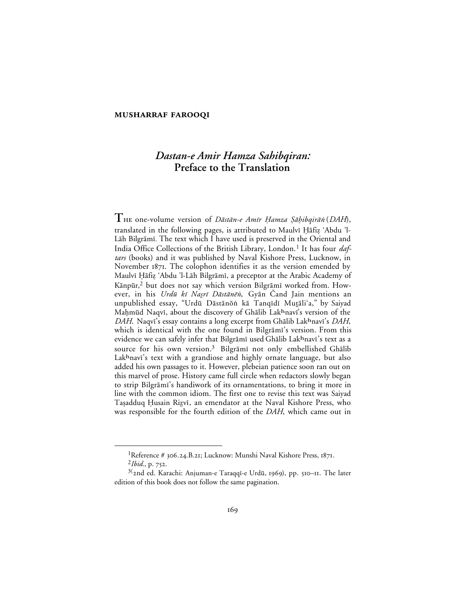## **MUSHARRAF FAROOQI**

# *Dastan-e Amir Hamza Sahibqiran:* **Preface to the Translation**

<sup>T</sup> HE one-volume version of Dāstān-e Amīr Hamza Şāḥibqirān (DAH), translated in the following pages, is attributed to Maulvī Ḥāfiz 'Abdu 'l-Lāh Bilgrāmī. The text which I have used is preserved in the Oriental and India Office Collections of the British Library, London.<sup>1</sup> It has four *daftars* (books) and it was published by Naval Kishore Press, Lucknow, in November 1871. The colophon identifies it as the version emended by Maulvī Ḥāfiz 'Abdu 'l-Lāh Bilgrāmī, a preceptor at the Arabic Academy of Kānpūr,<sup>2</sup> but does not say which version Bilgrāmī worked from. However, in his Urdū kī Nasrī Dāstānēn, Gyān Čand Jain mentions an unpublished essay, "Urdū Dāstānōṅ kā Tanqīdī Mutāli'a," by Saiyad Mahmūd Naqvī, about the discovery of Ghālib Lakhnavī's version of the *DAH*. Naqvi's essay contains a long excerpt from Ghālib Lak<sup>h</sup>navi's *DAH*, which is identical with the one found in Bilgrami's version. From this evidence we can safely infer that Bilgrāmī used Ghālib Lakhnavī's text as a source for his own version.<sup>3</sup> Bilgrāmī not only embellished Ghālib Lakhnavi's text with a grandiose and highly ornate language, but also added his own passages to it. However, plebeian patience soon ran out on this marvel of prose. History came full circle when redactors slowly began to strip Bilgrāmī's handiwork of its ornamentations, to bring it more in line with the common idiom. The first one to revise this text was Saiyad Taṣadduq Ḥusain Riẓvī, an emendator at the Naval Kishore Press, who was responsible for the fourth edition of the *DAH*, which came out in

<sup>&</sup>lt;sup>1</sup>Reference # 306.24.B.21; Lucknow: Munshi Naval Kishore Press,  $1871$ .

 $^{2}Ibid., p. 752.$ 

<sup>&</sup>lt;sup>3(</sup>2nd ed. Karachi: Anjuman-e Taraqqī-e Urdū, 1969), pp. 510–11. The later edition of this book does not follow the same pagination.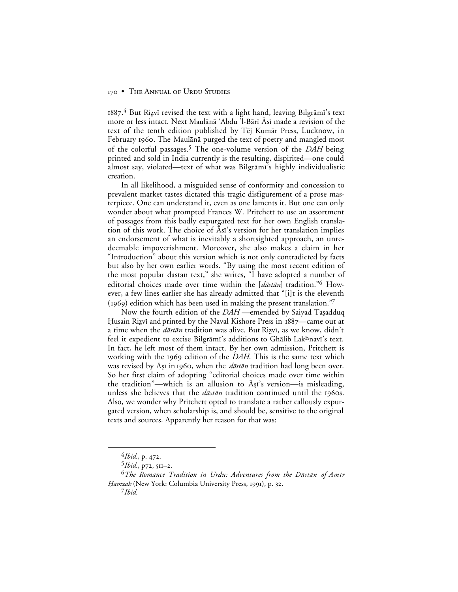#### 170 • THE ANNUAL OF URDU STUDIES

 $1887<sup>4</sup>$  But Rizvī revised the text with a light hand, leaving Bilgrāmī's text more or less intact. Next Maulānā 'Abdu 'l-Bārī Āsī made a revision of the text of the tenth edition published by Tēj Kumār Press, Lucknow, in February 1960. The Maulānā purged the text of poetry and mangled most of the colorful passages.5 The one-volume version of the *DAH* being printed and sold in India currently is the resulting, dispirited—one could almost say, violated—text of what was Bilgrāmī's highly individualistic creation.

In all likelihood, a misguided sense of conformity and concession to prevalent market tastes dictated this tragic disfigurement of a prose masterpiece. One can understand it, even as one laments it. But one can only wonder about what prompted Frances W. Pritchett to use an assortment of passages from this badly expurgated text for her own English translation of this work. The choice of Asi's version for her translation implies an endorsement of what is inevitably a shortsighted approach, an unredeemable impoverishment. Moreover, she also makes a claim in her "Introduction" about this version which is not only contradicted by facts but also by her own earlier words. "By using the most recent edition of the most popular dastan text," she writes, "I have adopted a number of editorial choices made over time within the  $[d\bar{a}st\bar{a}n]$  tradition."<sup>6</sup> However, a few lines earlier she has already admitted that "[i]t is the eleventh (1969) edition which has been used in making the present translation."

Now the fourth edition of the *DAH* —emended by Saiyad Taşadduq Husain Rizvī and printed by the Naval Kishore Press in  $1887$ —came out at a time when the *dāstān* tradition was alive. But Rizvī, as we know, didn't feel it expedient to excise Bilgrāmī's additions to Ghālib Lak<sup>h</sup>navī's text. In fact, he left most of them intact. By her own admission, Pritchett is working with the 1969 edition of the *DAH*. This is the same text which was revised by  $\bar{A}$ <sub>5</sub>i in 1960, when the *dāstān* tradition had long been over. So her first claim of adopting "editorial choices made over time within the tradition"—which is an allusion to  $\bar{A}$ <sub>5</sub>i's version—is misleading, unless she believes that the  $d\vec{a}$ st $\vec{a}$ n tradition continued until the 1960s. Also, we wonder why Pritchett opted to translate a rather callously expurgated version, when scholarship is, and should be, sensitive to the original texts and sources. Apparently her reason for that was:

 $^{4}Ibid., p. 472.$ 

<sup>5</sup>*Ibid.*, p72, 511-2.

<sup>&</sup>lt;sup>6</sup>The Romance Tradition in Urdu: Adventures from the Dāstān of Amīr Hamzah (New York: Columbia University Press, 1991), p. 32.

<sup>7</sup>*Ibid.*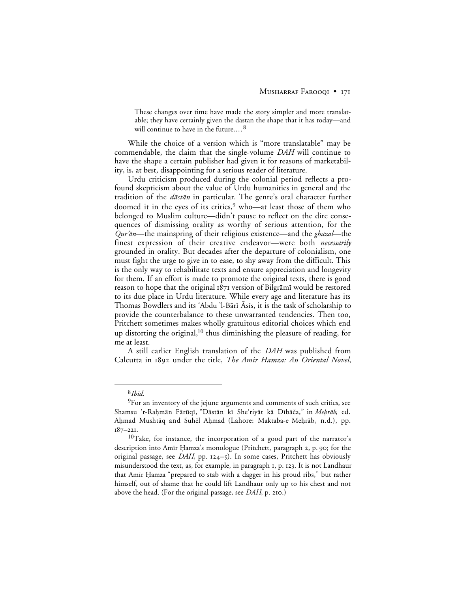These changes over time have made the story simpler and more translatable; they have certainly given the dastan the shape that it has today—and will continue to have in the future....<sup>8</sup>

While the choice of a version which is "more translatable" may be commendable, the claim that the single-volume *DAH* will continue to have the shape a certain publisher had given it for reasons of marketability, is, at best, disappointing for a serious reader of literature.

Urdu criticism produced during the colonial period reflects a profound skepticism about the value of Urdu humanities in general and the tradition of the *dāstān* in particular. The genre's oral character further doomed it in the eyes of its critics,<sup>9</sup> who—at least those of them who belonged to Muslim culture—didn't pause to reflect on the dire consequences of dismissing orality as worthy of serious attention, for the  $Qur\ddot{a}n$ —the mainspring of their religious existence—and the ghazal—the finest expression of their creative endeavor—were both *necessarily* grounded in orality. But decades after the departure of colonialism, one must fight the urge to give in to ease, to shy away from the difficult. This is the only way to rehabilitate texts and ensure appreciation and longevity for them. If an effort is made to promote the original texts, there is good reason to hope that the original 1871 version of Bilgrāmī would be restored to its due place in Urdu literature. While every age and literature has its Thomas Bowdlers and its 'Abdu 'l-Bārī Āsīs, it is the task of scholarship to provide the counterbalance to these unwarranted tendencies. Then too, Pritchett sometimes makes wholly gratuitous editorial choices which end up distorting the original, $10$  thus diminishing the pleasure of reading, for me at least.

A still earlier English translation of the *DAH* was published from Calcutta in 1892 under the title, *The Amir Hamza: An Oriental Novel*,

 <sup>8</sup>*Ibid.*

<sup>&</sup>lt;sup>9</sup>For an inventory of the jejune arguments and comments of such critics, see Shamsu 'r-Rahmān Fārūqī, "Dāstān kī She'riyāt kā Dībāča," in Mehrāb, ed. Ahmad Mushtāq and Suhēl Ahmad (Lahore: Maktaba-e Mehrāb, n.d.), pp.  $187 - 221.$ 

<sup>&</sup>lt;sup>10</sup>Take, for instance, the incorporation of a good part of the narrator's description into Amir Hamza's monologue (Pritchett, paragraph 2, p. 90; for the original passage, see *DAH*, pp. 124-5). In some cases, Pritchett has obviously misunderstood the text, as, for example, in paragraph 1, p. 123. It is not Landhaur that Amir Ḥamza "prepared to stab with a dagger in his proud ribs," but rather himself, out of shame that he could lift Landhaur only up to his chest and not above the head. (For the original passage, see *DAH*, p. 210.)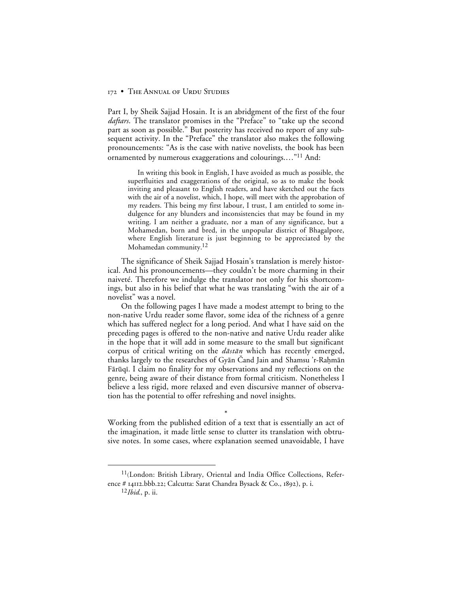# 172 • THE ANNUAL OF URDU STUDIES

Part I, by Sheik Sajjad Hosain. It is an abridgment of the first of the four *daftars*. The translator promises in the "Preface" to "take up the second part as soon as possible." But posterity has received no report of any subsequent activity. In the "Preface" the translator also makes the following pronouncements: "As is the case with native novelists, the book has been ornamented by numerous exaggerations and colourings.…"11 And:

In writing this book in English, I have avoided as much as possible, the superfluities and exaggerations of the original, so as to make the book inviting and pleasant to English readers, and have sketched out the facts with the air of a novelist, which, I hope, will meet with the approbation of my readers. This being my first labour, I trust, I am entitled to some indulgence for any blunders and inconsistencies that may be found in my writing. I am neither a graduate, nor a man of any significance, but a Mohamedan, born and bred, in the unpopular district of Bhagalpore, where English literature is just beginning to be appreciated by the Mohamedan community.12

The significance of Sheik Sajjad Hosain's translation is merely historical. And his pronouncements—they couldn't be more charming in their naiveté. Therefore we indulge the translator not only for his shortcomings, but also in his belief that what he was translating "with the air of a novelist" was a novel.

On the following pages I have made a modest attempt to bring to the non-native Urdu reader some flavor, some idea of the richness of a genre which has suffered neglect for a long period. And what I have said on the preceding pages is offered to the non-native and native Urdu reader alike in the hope that it will add in some measure to the small but significant corpus of critical writing on the  $d\bar{a}$ st $\bar{a}n$  which has recently emerged, thanks largely to the researches of Gyān Cand Jain and Shamsu 'r-Raḥmān Fārūqī. I claim no finality for my observations and my reflections on the genre, being aware of their distance from formal criticism. Nonetheless I believe a less rigid, more relaxed and even discursive manner of observation has the potential to offer refreshing and novel insights.

Working from the published edition of a text that is essentially an act of the imagination, it made little sense to clutter its translation with obtrusive notes. In some cases, where explanation seemed unavoidable, I have

\*

<sup>&</sup>lt;sup>11</sup>(London: British Library, Oriental and India Office Collections, Reference # 14112.bbb.22; Calcutta: Sarat Chandra Bysack & Co., 1892), p. i.

<sup>12</sup>*Ibid.*, p. ii.